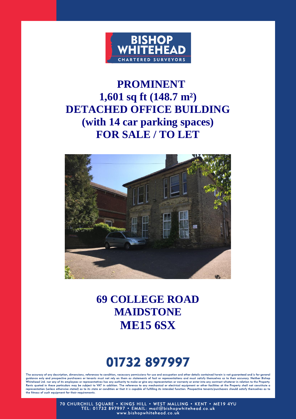

## **PROMINENT 1,601 sq ft (148.7 m²) DETACHED OFFICE BUILDING (with 14 car parking spaces) FOR SALE / TO LET**



## **69 COLLEGE ROAD MAIDSTONE ME15 6SX**

# 01732 897997

The accuracy of any description, dimensions, references to condition, necessary permissions for use and occupation and other details contained herein is not guaranteed and is for general The accuracy of any description, all mensions, retrences to condition, necessary permissions for use and occupantion and other details contained nerein is not guaranteed and is for general guidance only and prospective pur the fitness of such equipment for their requirements.

70 CHURCHILL SQUARE • KINGS HILL • WEST MALLING • KENT • ME19 4YU<br>TEL: 01732 897997 • EMAIL: mail@bishopwhitehead.co.uk<br>www.bishopwhitehead.co.uk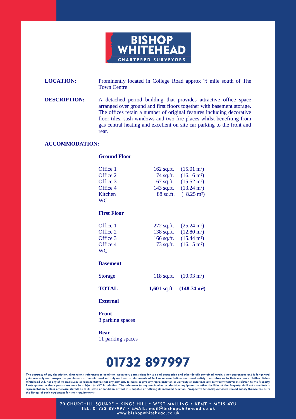

**LOCATION:** Prominently located in College Road approx  $\frac{1}{2}$  mile south of The Town Centre

**DESCRIPTION:** A detached period building that provides attractive office space arranged over ground and first floors together with basement storage. The offices retain a number of original features including decorative floor tiles, sash windows and two fire places whilst benefiting from gas central heating and excellent on site car parking to the front and rear.

#### **ACCOMMODATION:**

| Office 1           | 162 sq.ft. $(15.01 \text{ m}^2)$    |
|--------------------|-------------------------------------|
| Office 2           | 174 sq.ft. $(16.16 \text{ m}^2)$    |
| Office 3           | 167 sq.ft. $(15.52 \text{ m}^2)$    |
| Office 4           | 143 sq.ft. $(13.24 \text{ m}^2)$    |
| Kitchen            | 88 sq.ft. $(8.25 \text{ m}^2)$      |
| <b>WC</b>          |                                     |
| <b>First Floor</b> |                                     |
| Office 1           | 272 sq.ft. $(25.24 \text{ m}^2)$    |
| Office 2           | 138 sq.ft. $(12.80 \text{ m}^2)$    |
| Office 3           | 166 sq.ft. $(15.44 \text{ m}^2)$    |
| Office 4           | 173 sq.ft. $(16.15 \text{ m}^2)$    |
| <b>WC</b>          |                                     |
| <b>Basement</b>    |                                     |
| <b>Storage</b>     | 118 sq.ft. $(10.93 \text{ m}^2)$    |
| <b>TOTAL</b>       | 1,601 sq.ft. $(148.74 \text{ m}^2)$ |
| <b>External</b>    |                                     |

 **Front** 3 parking spaces

**Ground Floor** 

 **Rear** 11 parking spaces

## 01732 897997

The accuracy of any description, dimensions, references to condition, necessary permissions for use and occupation and other details contained herein is not guaranteed and is for general quidance only and prospective purchasers or tenants must not rely on them as statements of fact or representations and must satisfy themselves as to their accuracy. Neither Bishop Whitehead Ltd. nor any of its employees or Rents quoted in these particulars may be subject to VAT in addition. The reference to any mechanical or electrical equipment or other facilities at the Property shall not constitute a<br>representation (unless otherwise state the fitness of such equipment for their requirements.

> 70 CHURCHILL SQUARE . KINGS HILL . WEST MALLING . KENT . ME19 4YU TEL: 01732 897997 · EMAIL: mail@bishopwhitehead.co.uk www.bishopwhitehead.co.uk